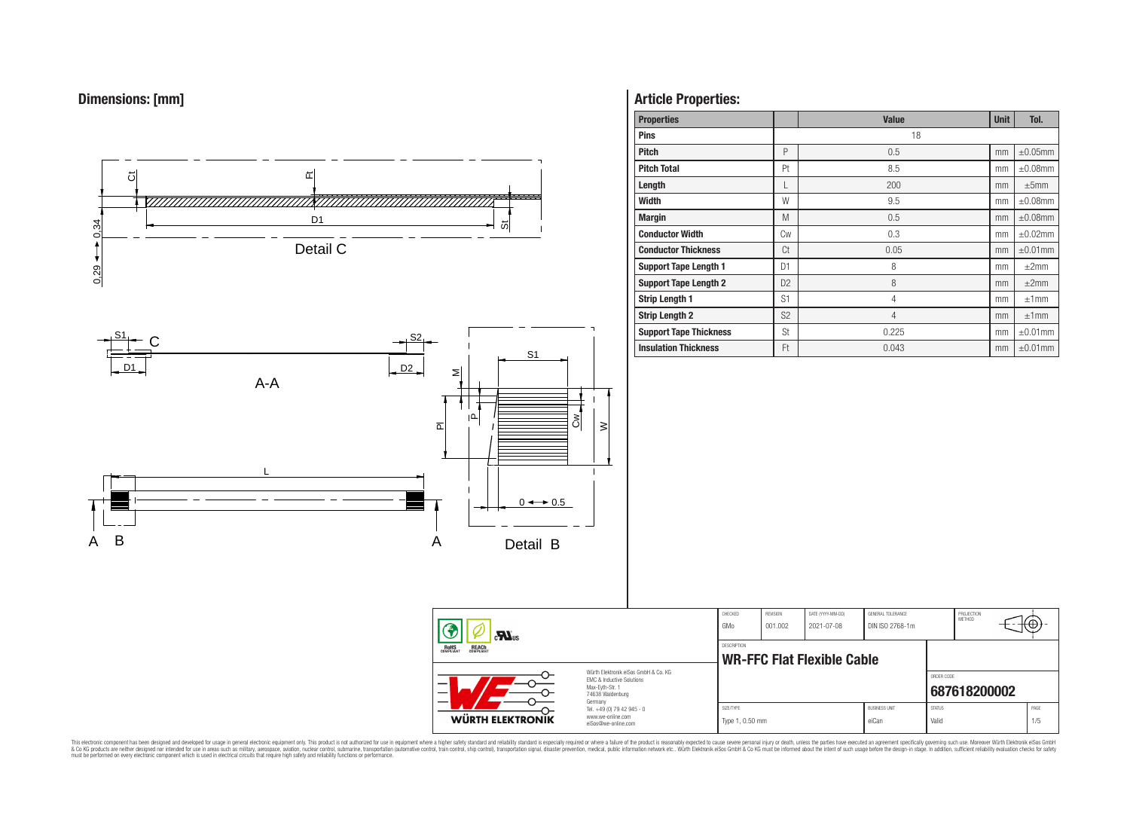



# **Article Properties:**

| <b>Properties</b>             |                | <b>Value</b>   | <b>Unit</b> | Tol.          |
|-------------------------------|----------------|----------------|-------------|---------------|
| <b>Pins</b>                   |                | 18             |             |               |
| <b>Pitch</b>                  | P              | 0.5            | mm          | $\pm 0.05$ mm |
| <b>Pitch Total</b>            | Pt             | 8.5            | mm          | $\pm 0.08$ mm |
| Length                        | L              | 200            | mm          | ±5mm          |
| <b>Width</b>                  | W              | 9.5            | mm          | $\pm 0.08$ mm |
| <b>Margin</b>                 | M              | 0.5            | mm          | $\pm 0.08$ mm |
| <b>Conductor Width</b>        | Сw             | 0.3            | mm          | $\pm 0.02$ mm |
| <b>Conductor Thickness</b>    | Ct             | 0.05           | mm          | $\pm 0.01$ mm |
| <b>Support Tape Length 1</b>  | D <sub>1</sub> | 8              | mm          | $\pm 2$ mm    |
| <b>Support Tape Length 2</b>  | D <sub>2</sub> | 8              | mm          | $\pm 2$ mm    |
| <b>Strip Length 1</b>         | S1             | 4              | mm          | ±1mm          |
| <b>Strip Length 2</b>         | S <sub>2</sub> | $\overline{4}$ | mm          | ±1mm          |
| <b>Support Tape Thickness</b> | St             | 0.225          | mm          | $\pm 0.01$ mm |
| <b>Insulation Thickness</b>   | Ft             | 0.043          | mm          | $\pm 0.01$ mm |

| $\mathbf{r}$                                                                                                                                                                           |                                                                                   | CHECKED<br>GMo               | <b>REVISION</b><br>001.002        | DATE (YYYY-MM-DD)<br>2021-07-08 | GENERAL TOLERANCE<br>DIN ISO 2768-1m |                        | PROJECTION<br>METHOD | ₩           |
|----------------------------------------------------------------------------------------------------------------------------------------------------------------------------------------|-----------------------------------------------------------------------------------|------------------------------|-----------------------------------|---------------------------------|--------------------------------------|------------------------|----------------------|-------------|
| <b>ROHS</b><br>COMPLIANT<br><b>REACH</b><br>COMPLIANT<br>Würth Flektronik eiSos GmbH & Co. KG<br><b>EMC &amp; Inductive Solutions</b><br>-<br>Max-Eyth-Str. 1<br>—<br>74638 Waldenburg |                                                                                   | <b>DESCRIPTION</b>           | <b>WR-FFC Flat Flexible Cable</b> |                                 |                                      |                        |                      |             |
|                                                                                                                                                                                        |                                                                                   |                              |                                   |                                 |                                      | ORDER CODE             | 687618200002         |             |
| <b>WÜRTH ELEKTRONIK</b>                                                                                                                                                                | Germany<br>Tel. +49 (0) 79 42 945 - 0<br>www.we-online.com<br>eiSos@we-online.com | SIZE/TYPE<br>Type 1, 0.50 mm |                                   |                                 | <b>BUSINESS UNIT</b><br>eiCan        | <b>STATUS</b><br>Valid |                      | PAGE<br>1/5 |

This electronic component has been designed and developed for usage in general electronic equipment only. This product is not authorized for subserved requipment where a higher selection equipment where a higher selection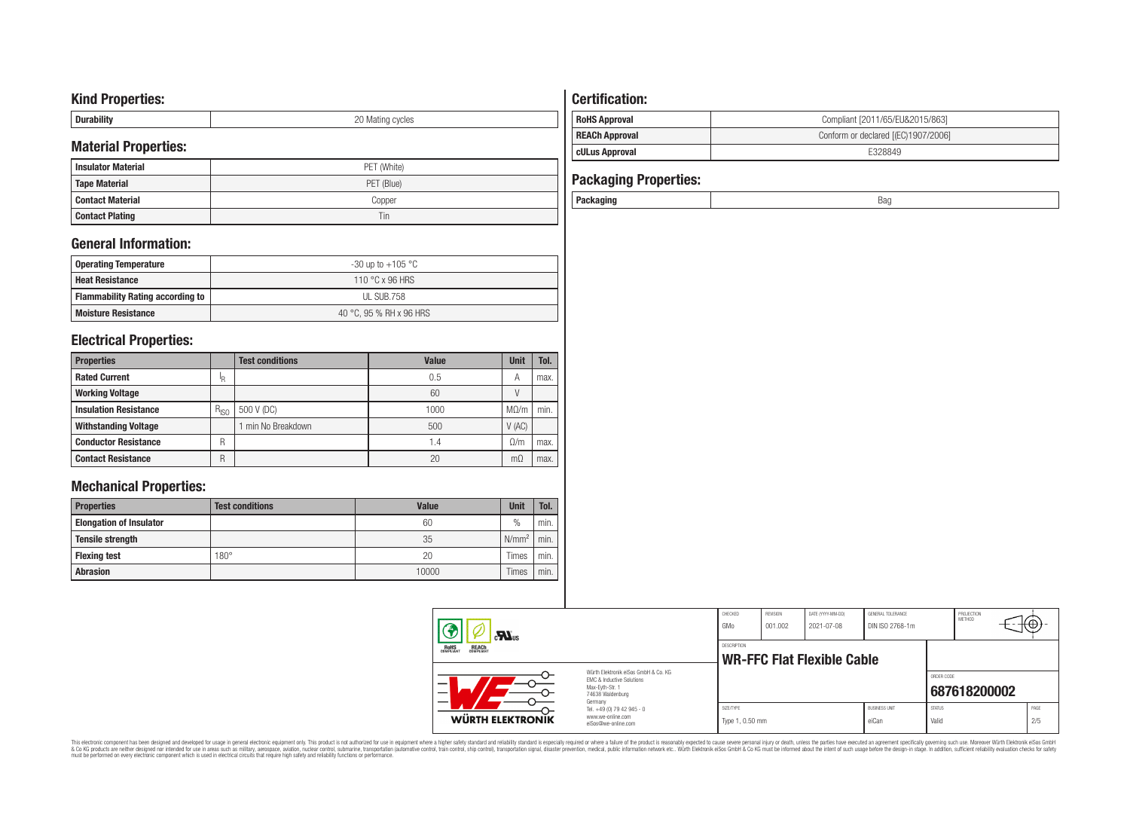# **Kind Properties:**

| <b>Duruping</b> | ററ<br>20 Mating cycles |
|-----------------|------------------------|

# **Material Properties:**

| <b>Insulator Material</b> | PET (White) |  |  |  |  |  |
|---------------------------|-------------|--|--|--|--|--|
| <b>Tape Material</b>      | PET (Blue)  |  |  |  |  |  |
| <b>Contact Material</b>   | Copper      |  |  |  |  |  |
| <b>Contact Plating</b>    | Tin         |  |  |  |  |  |

# **General Information:**

| Operating Temperature                   | -30 up to +105 $^{\circ}$ C |
|-----------------------------------------|-----------------------------|
| <b>Heat Resistance</b>                  | 110 °C x 96 HRS             |
| <b>Flammability Rating according to</b> | UL SUB.758                  |
| <b>Moisture Resistance</b>              | 40 °C, 95 % RH x 96 HRS     |

# **Electrical Properties:**

| <b>Properties</b>            |           | <b>Test conditions</b> | Value | <b>Unit</b> | Tol. |
|------------------------------|-----------|------------------------|-------|-------------|------|
| <b>Rated Current</b>         | 'R        |                        | 0.5   | A           | max. |
| <b>Working Voltage</b>       |           |                        | 60    |             |      |
| <b>Insulation Resistance</b> | $R_{ISO}$ | 500 V (DC)             | 1000  | $M\Omega/m$ | min. |
| <b>Withstanding Voltage</b>  |           | min No Breakdown       | 500   | V(AC)       |      |
| <b>Conductor Resistance</b>  | R         |                        | 1.4   | $\Omega/m$  | max. |
| <b>Contact Resistance</b>    | R         |                        | 20    | mΩ          | max. |

# **Mechanical Properties:**

| <b>Properties</b>              | <b>Test conditions</b> | Value | <b>Unit</b>       | Tol. |
|--------------------------------|------------------------|-------|-------------------|------|
| <b>Elongation of Insulator</b> |                        | 60    | $\frac{0}{0}$     | min. |
| <b>Tensile strength</b>        |                        | 35    | N/mm <sup>2</sup> | min. |
| <b>Flexing test</b>            | $180^\circ$            | 20    | Times             | min. |
| <b>Abrasion</b>                |                        | 10000 | Times             | min. |

# **Certification: RoHS Approval RoHS Approval Compliant** [2011/65/EU&2015/863] **REACh Approval REACh Approval Conform or declared [(EC)1907/2006]**

# **cULus Approval E328849**

| <b>Packaging Properties:</b> |     |
|------------------------------|-----|
| Packaging                    | Bag |

| $\mathbf{M}$ us<br><b>REACH</b><br>COMPLIANT<br><b>ROHS</b><br>COMPLIANT |                                                                                                          | CHECKED<br>GMo               | REVISION<br>001.002 | DATE (YYYY-MM-DD)<br>2021-07-08   | GENERAL TOLERANCE<br>DIN ISO 2768-1m |                        | PROJECTION<br><b>METHOD</b> | ा∖⊕∗        |
|--------------------------------------------------------------------------|----------------------------------------------------------------------------------------------------------|------------------------------|---------------------|-----------------------------------|--------------------------------------|------------------------|-----------------------------|-------------|
|                                                                          |                                                                                                          | <b>DESCRIPTION</b>           |                     | <b>WR-FFC Flat Flexible Cable</b> |                                      |                        |                             |             |
| –<br>—                                                                   | Würth Elektronik eiSos GmbH & Co. KG<br>EMC & Inductive Solutions<br>Max-Evth-Str. 1<br>74638 Waldenburg |                              |                     |                                   |                                      | ORDER CODE             | 687618200002                |             |
| WÜRTH ELEKTRONIK                                                         | Germany<br>Tel. +49 (0) 79 42 945 - 0<br>www.we-online.com<br>eiSos@we-online.com                        | SIZE/TYPE<br>Type 1, 0.50 mm |                     |                                   | <b>BUSINESS UNIT</b><br>eiCan        | <b>STATUS</b><br>Valid |                             | PAGE<br>2/5 |

This electronic component has been designed and developed for usage in general electronic equipment only. This product is not authorized for subserved requipment where a higher selection equipment where a higher selection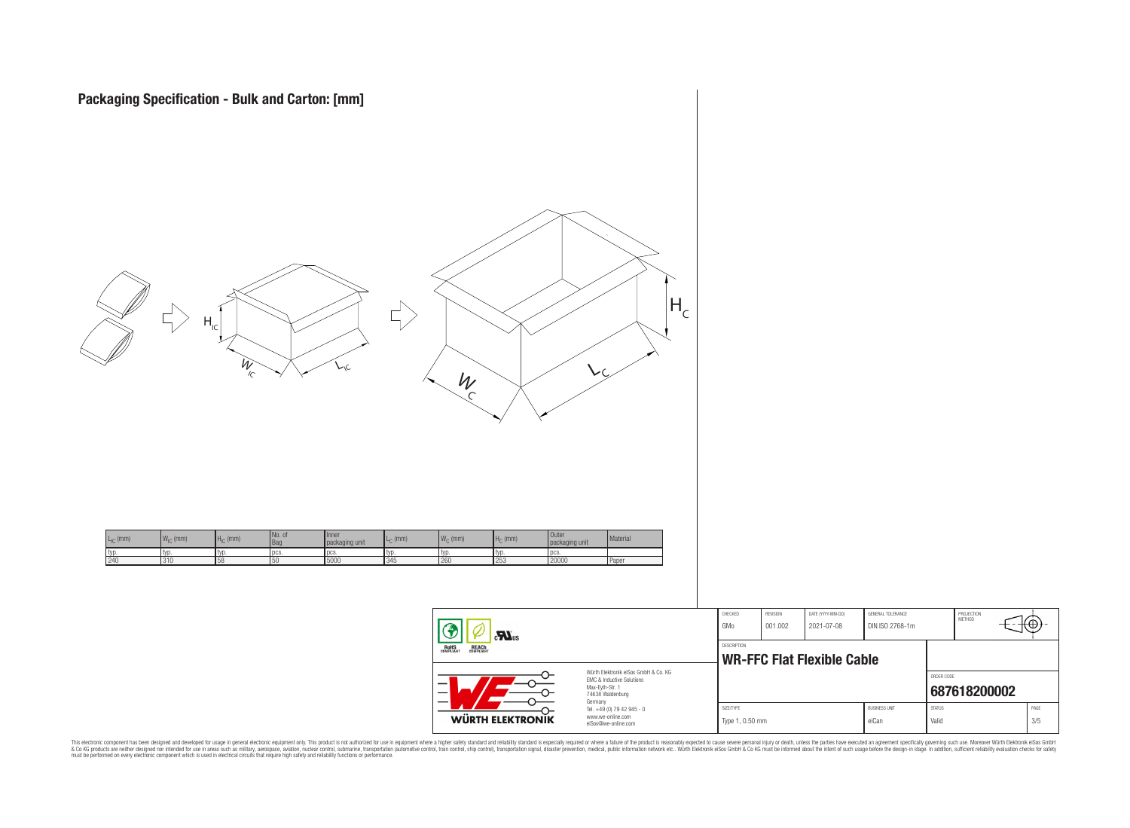

|                                                                                                                                | <b>CHECKED</b><br>GMo                                   | <b>REVISION</b><br>001.002 | DATE (YYYY-MM-DD)<br>2021-07-08 | GENERAL TOLERANCE<br>DIN ISO 2768-1m |                        | PROJECTION<br>METHOD | ₩           |  |
|--------------------------------------------------------------------------------------------------------------------------------|---------------------------------------------------------|----------------------------|---------------------------------|--------------------------------------|------------------------|----------------------|-------------|--|
|                                                                                                                                | <b>DESCRIPTION</b><br><b>WR-FFC Flat Flexible Cable</b> |                            |                                 |                                      |                        |                      |             |  |
| Würth Flektronik eiSos GmbH & Co. KG<br><b>FMC &amp; Inductive Solutions</b><br>Max-Evth-Str. 1<br>74638 Waldenburg<br>Germany |                                                         |                            |                                 |                                      | ORDER CODE             | 687618200002         |             |  |
| Tel. +49 (0) 79 42 945 - 0<br>www.we-online.com<br>eiSos@we-online.com                                                         | SIZE/TYPE<br>Type 1, 0.50 mm                            |                            |                                 | <b>BUSINESS UNIT</b><br>eiCan        | <b>STATUS</b><br>Valid |                      | PAGE<br>3/5 |  |

This electronic component has been designed and developed for usage in general electronic equipment only. This product is not authorized for subserved requipment where a higher selection equipment where a higher selection

WÜRTH ELEKTRONIK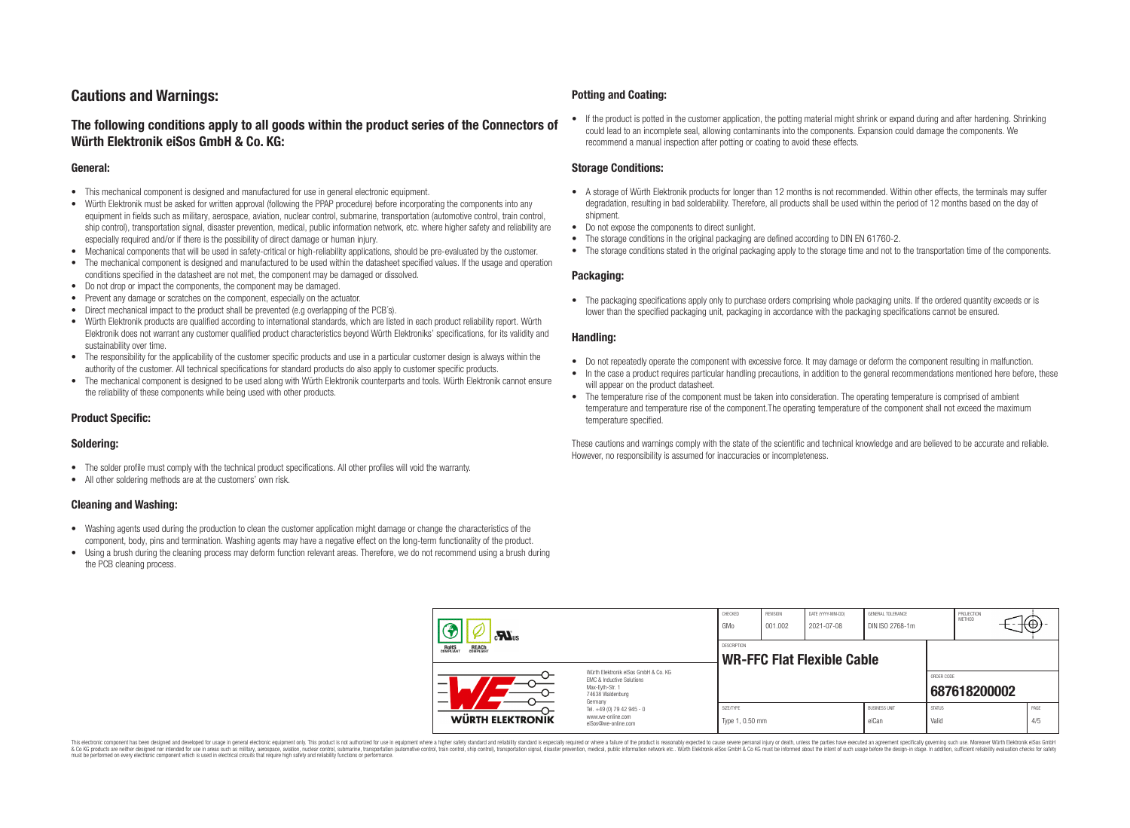# **Cautions and Warnings:**

# **The following conditions apply to all goods within the product series of the Connectors of Würth Elektronik eiSos GmbH & Co. KG:**

#### **General:**

- This mechanical component is designed and manufactured for use in general electronic equipment.
- Würth Elektronik must be asked for written approval (following the PPAP procedure) before incorporating the components into any equipment in fields such as military, aerospace, aviation, nuclear control, submarine, transportation (automotive control, train control, ship control), transportation signal, disaster prevention, medical, public information network, etc. where higher safety and reliability are especially required and/or if there is the possibility of direct damage or human injury.
- Mechanical components that will be used in safety-critical or high-reliability applications, should be pre-evaluated by the customer.
- The mechanical component is designed and manufactured to be used within the datasheet specified values. If the usage and operation conditions specified in the datasheet are not met, the component may be damaged or dissolved.
- Do not drop or impact the components, the component may be damaged.
- Prevent any damage or scratches on the component, especially on the actuator.
- Direct mechanical impact to the product shall be prevented (e.g overlapping of the PCB's).
- Würth Elektronik products are qualified according to international standards, which are listed in each product reliability report. Würth Elektronik does not warrant any customer qualified product characteristics beyond Würth Elektroniks' specifications, for its validity and sustainability over time.
- The responsibility for the applicability of the customer specific products and use in a particular customer design is always within the authority of the customer. All technical specifications for standard products do also apply to customer specific products.
- The mechanical component is designed to be used along with Würth Elektronik counterparts and tools. Würth Elektronik cannot ensure the reliability of these components while being used with other products.

#### **Product Specific:**

#### **Soldering:**

- The solder profile must comply with the technical product specifications. All other profiles will void the warranty.
- All other soldering methods are at the customers' own risk.

#### **Cleaning and Washing:**

- Washing agents used during the production to clean the customer application might damage or change the characteristics of the component, body, pins and termination. Washing agents may have a negative effect on the long-term functionality of the product.
- Using a brush during the cleaning process may deform function relevant areas. Therefore, we do not recommend using a brush during the PCB cleaning process.

#### **Potting and Coating:**

• If the product is potted in the customer application, the potting material might shrink or expand during and after hardening. Shrinking could lead to an incomplete seal, allowing contaminants into the components. Expansion could damage the components. We recommend a manual inspection after potting or coating to avoid these effects.

#### **Storage Conditions:**

- A storage of Würth Elektronik products for longer than 12 months is not recommended. Within other effects, the terminals may suffer degradation, resulting in bad solderability. Therefore, all products shall be used within the period of 12 months based on the day of shipment.
- Do not expose the components to direct sunlight.
- The storage conditions in the original packaging are defined according to DIN EN 61760-2.
- The storage conditions stated in the original packaging apply to the storage time and not to the transportation time of the components.

#### **Packaging:**

• The packaging specifications apply only to purchase orders comprising whole packaging units. If the ordered quantity exceeds or is lower than the specified packaging unit, packaging in accordance with the packaging specifications cannot be ensured.

#### **Handling:**

- Do not repeatedly operate the component with excessive force. It may damage or deform the component resulting in malfunction.
- In the case a product requires particular handling precautions, in addition to the general recommendations mentioned here before, these will appear on the product datasheet
- The temperature rise of the component must be taken into consideration. The operating temperature is comprised of ambient temperature and temperature rise of the component.The operating temperature of the component shall not exceed the maximum temperature specified.

These cautions and warnings comply with the state of the scientific and technical knowledge and are believed to be accurate and reliable. However, no responsibility is assumed for inaccuracies or incompleteness.

| $\mathbf{r}$<br>ROHS<br>COMPLIANT<br><b>REACH</b><br>COMPLIANT |                                                                                                          | CHECKED<br>GMo                                          | REVISION<br>001.002 | DATE (YYYY-MM-DD)<br>2021-07-08 | GENERAL TOLERANCE<br>DIN ISO 2768-1m |                        | PROJECTION<br>METHOD | ₩           |  |
|----------------------------------------------------------------|----------------------------------------------------------------------------------------------------------|---------------------------------------------------------|---------------------|---------------------------------|--------------------------------------|------------------------|----------------------|-------------|--|
|                                                                |                                                                                                          | <b>DESCRIPTION</b><br><b>WR-FFC Flat Flexible Cable</b> |                     |                                 |                                      |                        |                      |             |  |
| –                                                              | Würth Elektronik eiSos GmbH & Co. KG<br>EMC & Inductive Solutions<br>Max-Eyth-Str. 1<br>74638 Waldenburg |                                                         |                     |                                 |                                      | ORDER CODE             | 687618200002         |             |  |
| <b>WÜRTH ELEKTRONIK</b>                                        | Germany<br>Tel. +49 (0) 79 42 945 - 0<br>www.we-online.com<br>eiSos@we-online.com                        | SIZE/TYPE<br>Type 1, 0.50 mm                            |                     |                                 | <b>BUSINESS UNIT</b><br>eiCan        | <b>STATUS</b><br>Valid |                      | PAGE<br>4/5 |  |

This electronic component has been designed and developed for usage in general electronic equipment only. This product is not authorized for use in equipment where a higher safety standard and reliability standard si espec & Ook product a label and the membed of the seasuch as marked and as which such a membed and the such assume that income in the seasuch and the simulation and the such assume that include to the such a membed and the such